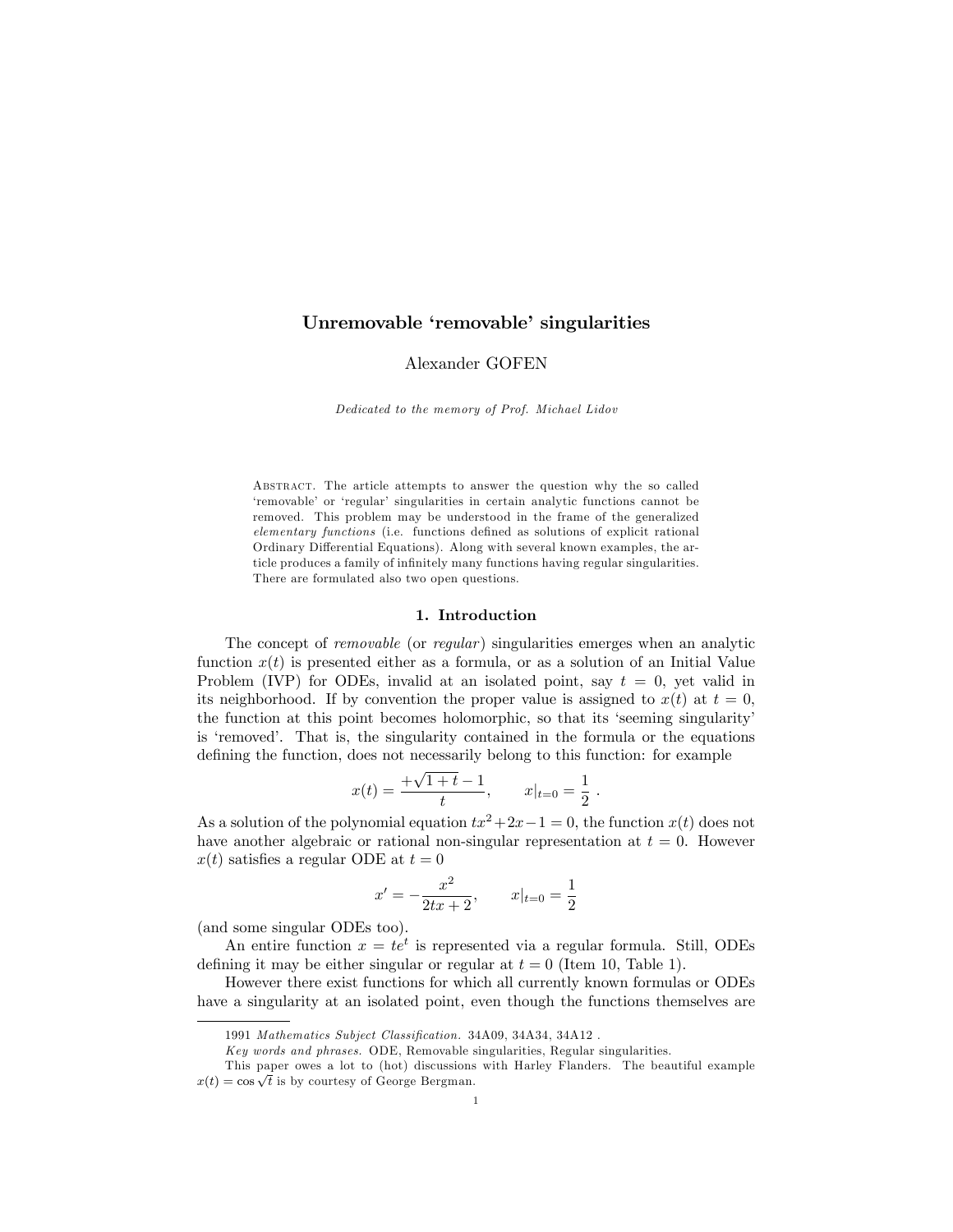## Unremovable 'removable' singularities

### Alexander GOFEN

Dedicated to the memory of Prof. Michael Lidov

ABSTRACT. The article attempts to answer the question why the so called 'removable' or 'regular' singularities in certain analytic functions cannot be removed. This problem may be understood in the frame of the generalized elementary functions (i.e. functions defined as solutions of explicit rational Ordinary Differential Equations). Along with several known examples, the article produces a family of infinitely many functions having regular singularities. There are formulated also two open questions.

### 1. Introduction

The concept of *removable* (or *regular*) singularities emerges when an analytic function  $x(t)$  is presented either as a formula, or as a solution of an Initial Value Problem (IVP) for ODEs, invalid at an isolated point, say  $t = 0$ , yet valid in its neighborhood. If by convention the proper value is assigned to  $x(t)$  at  $t = 0$ , the function at this point becomes holomorphic, so that its 'seeming singularity' is 'removed'. That is, the singularity contained in the formula or the equations defining the function, does not necessarily belong to this function: for example

$$
x(t) = \frac{+\sqrt{1+t}-1}{t}, \qquad x|_{t=0} = \frac{1}{2}.
$$

As a solution of the polynomial equation  $tx^2+2x-1=0$ , the function  $x(t)$  does not have another algebraic or rational non-singular representation at  $t = 0$ . However  $x(t)$  satisfies a regular ODE at  $t=0$ 

$$
x' = -\frac{x^2}{2tx + 2}, \qquad x|_{t=0} = \frac{1}{2}
$$

(and some singular ODEs too).

An entire function  $x = te^t$  is represented via a regular formula. Still, ODEs defining it may be either singular or regular at  $t = 0$  (Item 10, Table 1).

However there exist functions for which all currently known formulas or ODEs have a singularity at an isolated point, even though the functions themselves are

<sup>1991</sup> Mathematics Subject Classification. 34A09, 34A34, 34A12.

Key words and phrases. ODE, Removable singularities, Regular singularities.

This paper owes a lot to (hot) discussions with Harley Flanders. The beautiful example  $x(t) = \cos \sqrt{t}$  is by courtesy of George Bergman.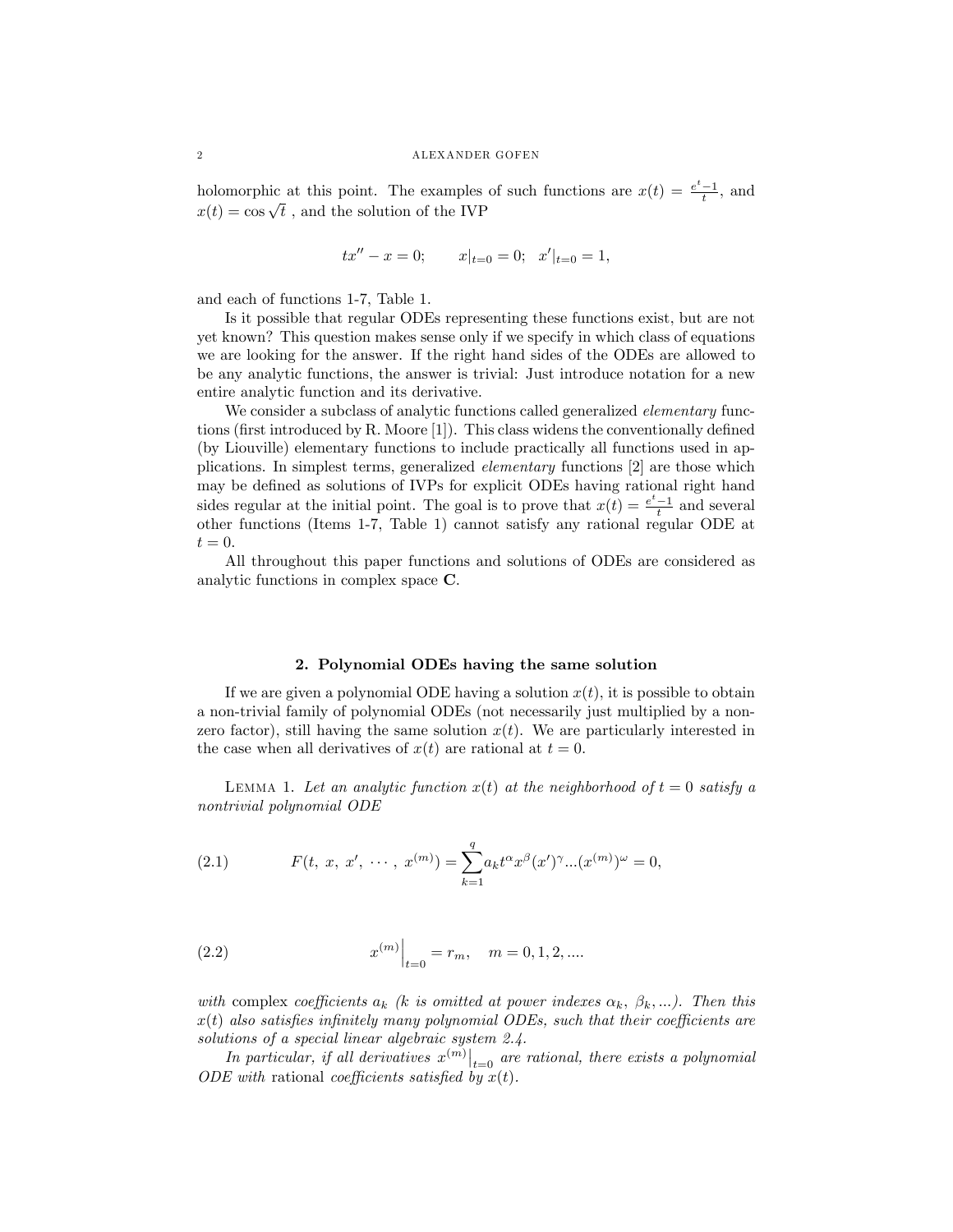holomorphic at this point. The examples of such functions are  $x(t) = \frac{e^t - 1}{t}$ , and  $x(t) = \cos \sqrt{t}$ , and the solution of the IVP

$$
tx'' - x = 0;
$$
  $x|_{t=0} = 0;$   $x'|_{t=0} = 1,$ 

and each of functions 1-7, Table 1.

Is it possible that regular ODEs representing these functions exist, but are not yet known? This question makes sense only if we specify in which class of equations we are looking for the answer. If the right hand sides of the ODEs are allowed to be any analytic functions, the answer is trivial: Just introduce notation for a new entire analytic function and its derivative.

We consider a subclass of analytic functions called generalized *elementary* functions (first introduced by R. Moore  $[1]$ ). This class widens the conventionally defined (by Liouville) elementary functions to include practically all functions used in applications. In simplest terms, generalized elementary functions [2] are those which may be defined as solutions of IVPs for explicit ODEs having rational right hand sides regular at the initial point. The goal is to prove that  $x(t) = \frac{e^t - 1}{t}$  and several other functions (Items 1-7, Table 1) cannot satisfy any rational regular ODE at  $t=0.$ 

All throughout this paper functions and solutions of ODEs are considered as analytic functions in complex space C.

### 2. Polynomial ODEs having the same solution

If we are given a polynomial ODE having a solution  $x(t)$ , it is possible to obtain a non-trivial family of polynomial ODEs (not necessarily just multiplied by a nonzero factor), still having the same solution  $x(t)$ . We are particularly interested in the case when all derivatives of  $x(t)$  are rational at  $t = 0$ .

LEMMA 1. Let an analytic function  $x(t)$  at the neighborhood of  $t = 0$  satisfy a nontrivial polynomial ODE

(2.1) 
$$
F(t, x, x', \cdots, x^{(m)}) = \sum_{k=1}^{q} a_k t^{\alpha} x^{\beta} (x')^{\gamma} ... (x^{(m)})^{\omega} = 0,
$$

(2.2) 
$$
x^{(m)}\Big|_{t=0} = r_m, \quad m = 0, 1, 2, \dots
$$

with complex coefficients  $a_k$  (k is omitted at power indexes  $\alpha_k$ ,  $\beta_k$ ,...). Then this  $x(t)$  also satisfies infinitely many polynomial ODEs, such that their coefficients are solutions of a special linear algebraic system 2.4.

In particular, if all derivatives  $x^{(m)}\big|_{t=0}$  are rational, there exists a polynomial ODE with rational coefficients satisfied by  $x(t)$ .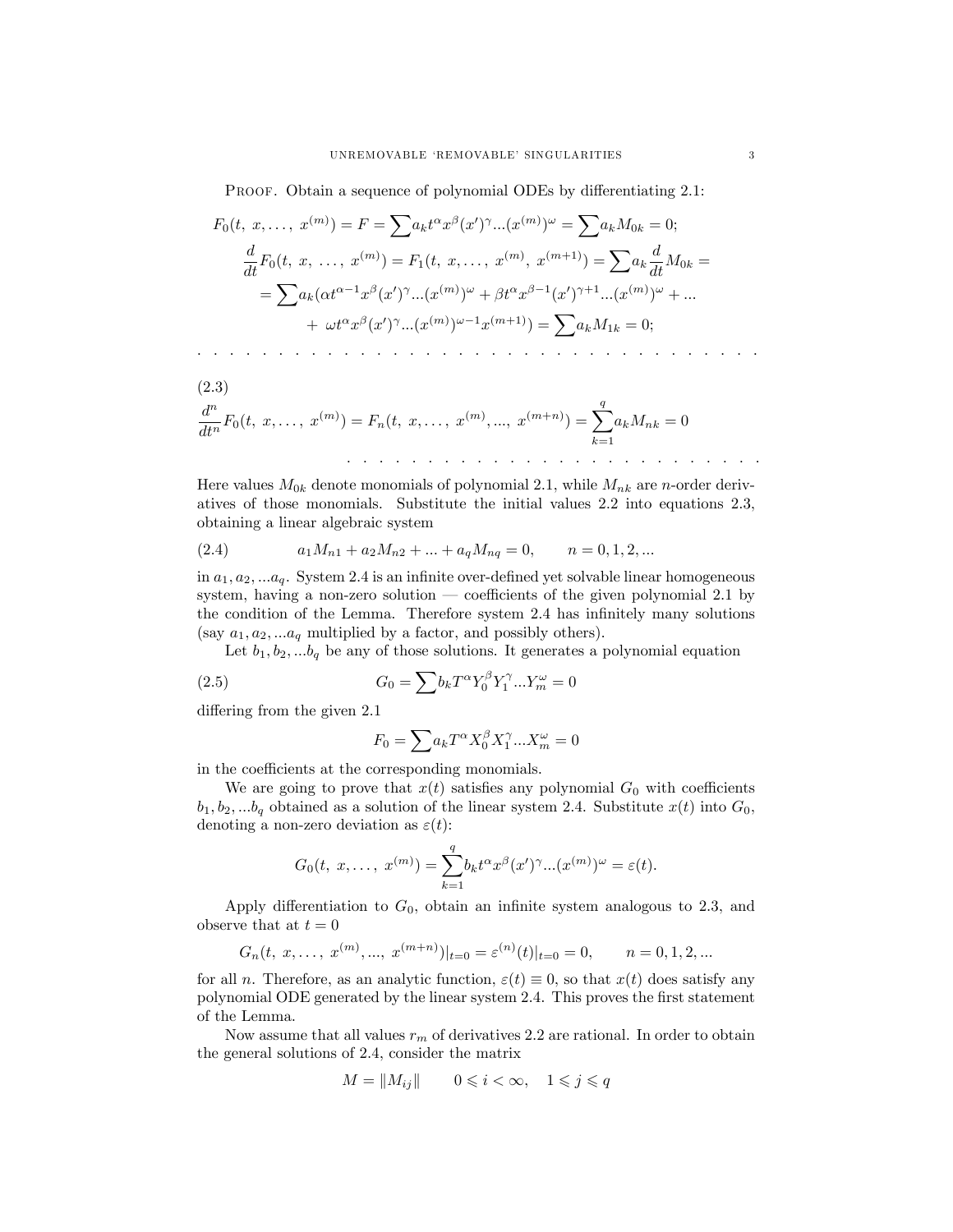PROOF. Obtain a sequence of polynomial ODEs by differentiating 2.1:

$$
F_0(t, x, ..., x^{(m)}) = F = \sum a_k t^{\alpha} x^{\beta} (x')^{\gamma} ... (x^{(m)})^{\omega} = \sum a_k M_{0k} = 0;
$$
  

$$
\frac{d}{dt} F_0(t, x, ..., x^{(m)}) = F_1(t, x, ..., x^{(m)}, x^{(m+1)}) = \sum a_k \frac{d}{dt} M_{0k} =
$$
  

$$
= \sum a_k (\alpha t^{\alpha-1} x^{\beta} (x')^{\gamma} ... (x^{(m)})^{\omega} + \beta t^{\alpha} x^{\beta-1} (x')^{\gamma+1} ... (x^{(m)})^{\omega} + ...
$$
  

$$
+ \omega t^{\alpha} x^{\beta} (x')^{\gamma} ... (x^{(m)})^{\omega-1} x^{(m+1)}) = \sum a_k M_{1k} = 0;
$$

(2.3)  
\n
$$
\frac{d^n}{dt^n}F_0(t, x, \dots, x^{(m)}) = F_n(t, x, \dots, x^{(m)}, \dots, x^{(m+n)}) = \sum_{k=1}^q a_k M_{nk} = 0
$$

Here values  $M_{0k}$  denote monomials of polynomial 2.1, while  $M_{nk}$  are *n*-order derivatives of those monomials. Substitute the initial values 2.2 into equations 2.3, obtaining a linear algebraic system

(2.4) 
$$
a_1M_{n1} + a_2M_{n2} + \dots + a_qM_{nq} = 0, \qquad n = 0, 1, 2, \dots
$$

in  $a_1, a_2, \ldots, a_q$ . System 2.4 is an infinite over-defined yet solvable linear homogeneous system, having a non-zero solution — coefficients of the given polynomial 2.1 by the condition of the Lemma. Therefore system 2.4 has infinitely many solutions (say  $a_1, a_2, \ldots a_q$  multiplied by a factor, and possibly others).

Let  $b_1, b_2, \ldots, b_q$  be any of those solutions. It generates a polynomial equation

(2.5) 
$$
G_0 = \sum b_k T^{\alpha} Y_0^{\beta} Y_1^{\gamma} ... Y_m^{\omega} = 0
$$

differing from the given 2.1

$$
F_0=\sum a_k T^\alpha X_0^\beta X_1^\gamma...X_m^\omega=0
$$

in the coefficients at the corresponding monomials.

We are going to prove that  $x(t)$  satisfies any polynomial  $G_0$  with coefficients  $b_1, b_2, \ldots, b_q$  obtained as a solution of the linear system 2.4. Substitute  $x(t)$  into  $G_0$ , denoting a non-zero deviation as  $\varepsilon(t)$ :

$$
G_0(t, x, \ldots, x^{(m)}) = \sum_{k=1}^q b_k t^{\alpha} x^{\beta} (x')^{\gamma} \ldots (x^{(m)})^{\omega} = \varepsilon(t).
$$

Apply differentiation to  $G_0$ , obtain an infinite system analogous to 2.3, and observe that at  $t=0$ 

$$
G_n(t, x, ..., x^{(m)}, ..., x^{(m+n)})|_{t=0} = \varepsilon^{(n)}(t)|_{t=0} = 0, \quad n = 0, 1, 2, ...
$$

for all *n*. Therefore, as an analytic function,  $\varepsilon(t) \equiv 0$ , so that  $x(t)$  does satisfy any polynomial ODE generated by the linear system 2.4. This proves the first statement of the Lemma.

Now assume that all values  $r_m$  of derivatives 2.2 are rational. In order to obtain the general solutions of 2.4, consider the matrix

$$
M = \|M_{ij}\| \qquad 0 \leqslant i < \infty, \quad 1 \leqslant j \leqslant q
$$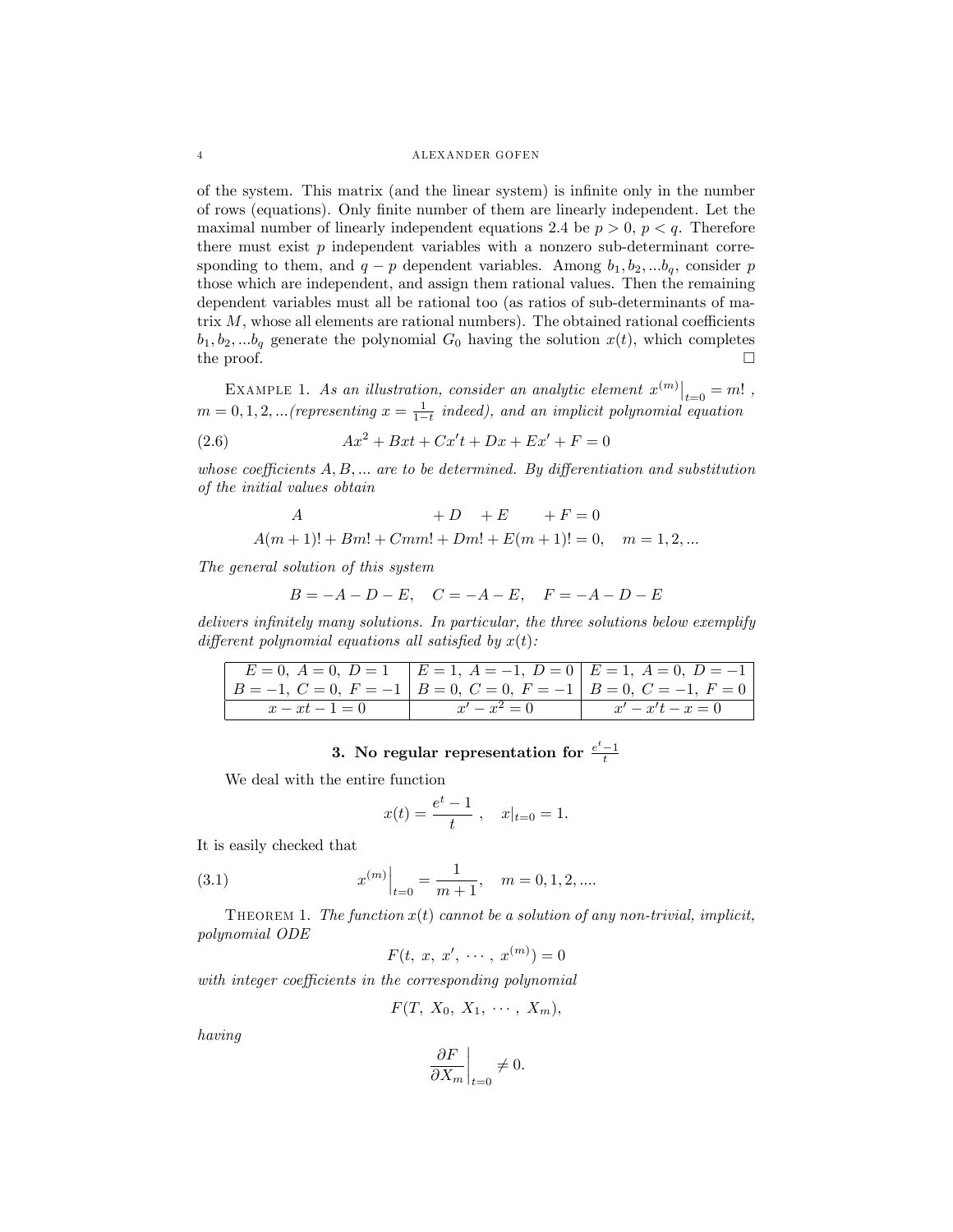#### 4 ALEXANDER GOFEN

of the system. This matrix (and the linear system) is inÖnite only in the number of rows (equations). Only Önite number of them are linearly independent. Let the maximal number of linearly independent equations 2.4 be  $p > 0$ ,  $p < q$ . Therefore there must exist  $p$  independent variables with a nonzero sub-determinant corresponding to them, and  $q - p$  dependent variables. Among  $b_1, b_2, ... b_q$ , consider p those which are independent, and assign them rational values. Then the remaining dependent variables must all be rational too (as ratios of sub-determinants of matrix  $M$ , whose all elements are rational numbers). The obtained rational coefficients  $b_1, b_2, \ldots, b_q$  generate the polynomial  $G_0$  having the solution  $x(t)$ , which completes the proof.  $\Box$ 

EXAMPLE 1. As an illustration, consider an analytic element  $x^{(m)}\big|_{t=0} = m!$ ,  $m = 0, 1, 2, ...$  (representing  $x = \frac{1}{1-t}$  indeed), and an implicit polynomial equation

(2.6) 
$$
Ax^2 + Bxt + Cx't + Dx + Ex' + F = 0
$$

whose coefficients  $A, B, \ldots$  are to be determined. By differentiation and substitution of the initial values obtain

$$
A \qquad \qquad +D \quad +E \qquad +F=0
$$

 $A(m+1)! + Bm! + Cmm! + Dm! + E(m+1)! = 0, \quad m = 1, 2, ...$ 

The general solution of this system

$$
B = -A - D - E, \quad C = -A - E, \quad F = -A - D - E
$$

delivers infinitely many solutions. In particular, the three solutions below exemplify different polynomial equations all satisfied by  $x(t)$ :

|                                                                       | $E = 0, A = 0, D = 1$ $E = 1, A = -1, D = 0$ $E = 1, A = 0, D = -1$ |                    |
|-----------------------------------------------------------------------|---------------------------------------------------------------------|--------------------|
| $B = -1, C = 0, F = -1$ $B = 0, C = 0, F = -1$ $B = 0, C = -1, F = 0$ |                                                                     |                    |
| $x - xt - 1 = 0$                                                      | $x'-x^2=0$                                                          | $x' - x't - x = 0$ |

# 3. No regular representation for  $\frac{e^t-1}{t}$

We deal with the entire function

$$
x(t) = \frac{e^t - 1}{t}, \quad x|_{t=0} = 1.
$$

It is easily checked that

(3.1) 
$$
x^{(m)}\Big|_{t=0} = \frac{1}{m+1}, \quad m = 0, 1, 2, \dots
$$

THEOREM 1. The function  $x(t)$  cannot be a solution of any non-trivial, implicit, polynomial ODE

$$
F(t, x, x', \cdots, x^{(m)}) = 0
$$

with integer coefficients in the corresponding polynomial

$$
F(T, X_0, X_1, \cdots, X_m),
$$

having

$$
\left.\frac{\partial F}{\partial X_m}\right|_{t=0}\neq 0.
$$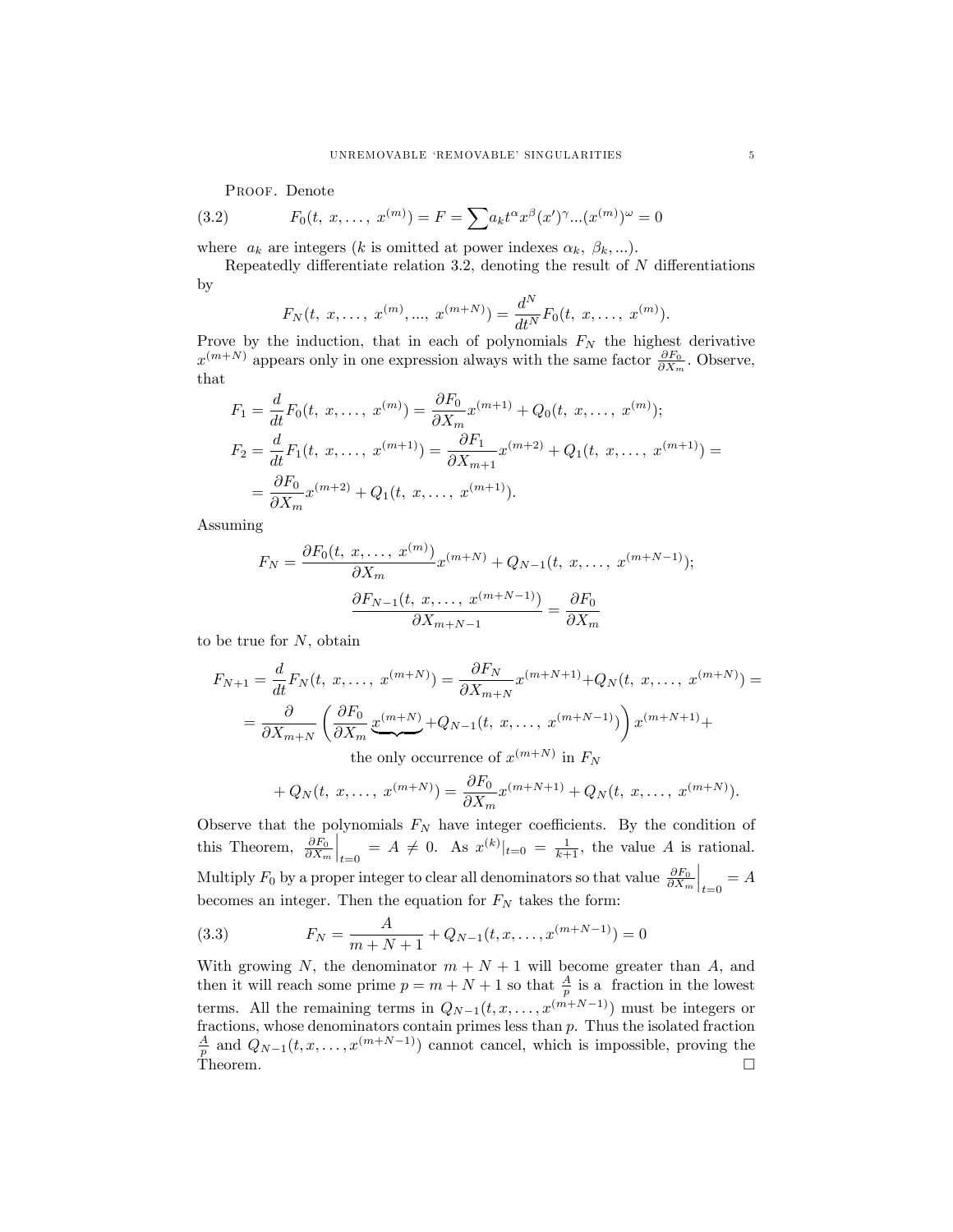PROOF. Denote

(3.2) 
$$
F_0(t, x, \dots, x^{(m)}) = F = \sum a_k t^{\alpha} x^{\beta} (x')^{\gamma} ... (x^{(m)})^{\omega} = 0
$$

where  $a_k$  are integers (k is omitted at power indexes  $\alpha_k$ ,  $\beta_k$ ,...).

Repeatedly differentiate relation 3.2, denoting the result of  $N$  differentiations by

$$
F_N(t, x, \ldots, x^{(m)}, \ldots, x^{(m+N)}) = \frac{d^N}{dt^N} F_0(t, x, \ldots, x^{(m)}).
$$

Prove by the induction, that in each of polynomials  $F_N$  the highest derivative  $x^{(m+N)}$  appears only in one expression always with the same factor  $\frac{\partial F_0}{\partial X_m}$ . Observe, that

$$
F_1 = \frac{d}{dt} F_0(t, x, \dots, x^{(m)}) = \frac{\partial F_0}{\partial X_m} x^{(m+1)} + Q_0(t, x, \dots, x^{(m)});
$$
  
\n
$$
F_2 = \frac{d}{dt} F_1(t, x, \dots, x^{(m+1)}) = \frac{\partial F_1}{\partial X_{m+1}} x^{(m+2)} + Q_1(t, x, \dots, x^{(m+1)}) =
$$
  
\n
$$
= \frac{\partial F_0}{\partial X_m} x^{(m+2)} + Q_1(t, x, \dots, x^{(m+1)}).
$$

Assuming

$$
F_N = \frac{\partial F_0(t, x, \dots, x^{(m)})}{\partial X_m} x^{(m+N)} + Q_{N-1}(t, x, \dots, x^{(m+N-1)});
$$

$$
\frac{\partial F_{N-1}(t, x, \dots, x^{(m+N-1)})}{\partial X_{m+N-1}} = \frac{\partial F_0}{\partial X_m}
$$

to be true for  $N$ , obtain

$$
F_{N+1} = \frac{d}{dt} F_N(t, x, \dots, x^{(m+N)}) = \frac{\partial F_N}{\partial X_{m+N}} x^{(m+N+1)} + Q_N(t, x, \dots, x^{(m+N)}) =
$$
  
=  $\frac{\partial}{\partial X_{m+N}} \left( \frac{\partial F_0}{\partial X_m} \underbrace{x^{(m+N)}}_{\text{the only occurrence of } x^{(m+N)}} + x^{(m+N-1)} \right) x^{(m+N+1)} +$ 

$$
+ Q_N(t, x, \ldots, x^{(m+N)}) = \frac{\partial F_0}{\partial X_m} x^{(m+N+1)} + Q_N(t, x, \ldots, x^{(m+N)}).
$$

Observe that the polynomials  $F_N$  have integer coefficients. By the condition of this Theorem,  $\frac{\partial F_0}{\partial X_m}\Big|_{t=0} = A \neq 0$ . As  $x^{(k)}|_{t=0} = \frac{1}{k+1}$ , the value A is rational. Multiply  $F_0$  by a proper integer to clear all denominators so that value  $\frac{\partial F_0}{\partial X_m}\Big|_{t=0} = A$ becomes an integer. Then the equation for  ${\cal F}_N$  takes the form:

(3.3) 
$$
F_N = \frac{A}{m+N+1} + Q_{N-1}(t, x, \dots, x^{(m+N-1)}) = 0
$$

With growing N, the denominator  $m + N + 1$  will become greater than A, and then it will reach some prime  $p = m + N + 1$  so that  $\frac{A}{p}$  is a fraction in the lowest<br>terms. All the remaining terms in  $Q_{N-1}(t, x, ..., x^{(m+N-1)})$  must be integers or fractions, whose denominators contain primes less than p. Thus the isolated fraction  $\frac{A}{p}$  and  $Q_{N-1}(t, x, ..., x^{(m+N-1)})$  cannot cancel, which is impossible, proving the Theorem.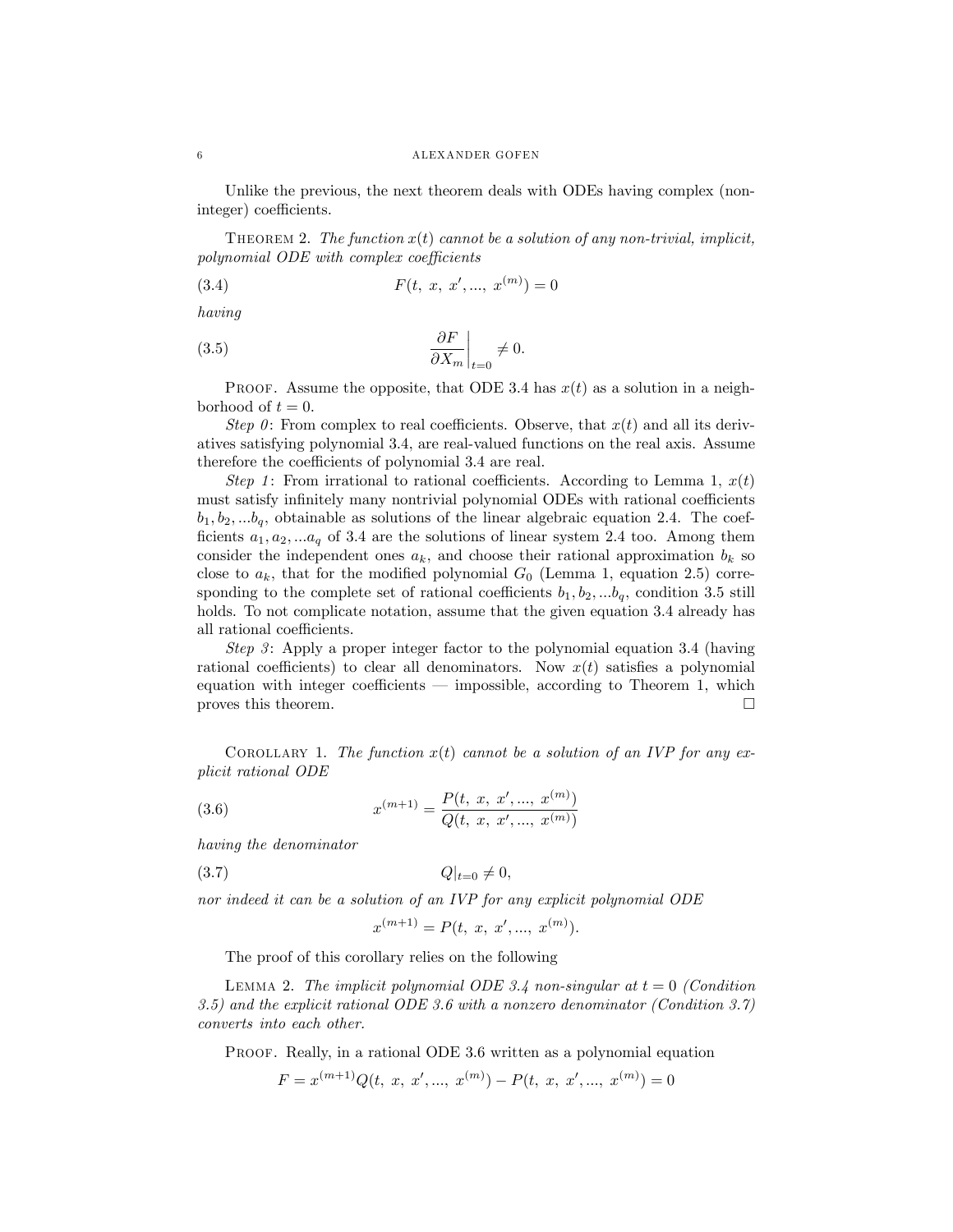Unlike the previous, the next theorem deals with ODEs having complex (noninteger) coefficients.

THEOREM 2. The function  $x(t)$  cannot be a solution of any non-trivial, implicit,  $polynomial ODE with complex coefficients$ 

(3.4) 
$$
F(t, x, x', ..., x^{(m)}) = 0
$$

having

(3.5) 
$$
\left. \frac{\partial F}{\partial X_m} \right|_{t=0} \neq 0.
$$

PROOF. Assume the opposite, that ODE 3.4 has  $x(t)$  as a solution in a neighborhood of  $t = 0$ .

Step 0: From complex to real coefficients. Observe, that  $x(t)$  and all its derivatives satisfying polynomial 3.4, are real-valued functions on the real axis. Assume therefore the coefficients of polynomial 3.4 are real.

Step 1: From irrational to rational coefficients. According to Lemma 1,  $x(t)$ must satisfy infinitely many nontrivial polynomial ODEs with rational coefficients  $b_1, b_2, \ldots, b_q$ , obtainable as solutions of the linear algebraic equation 2.4. The coefficients  $a_1, a_2, \ldots a_q$  of 3.4 are the solutions of linear system 2.4 too. Among them consider the independent ones  $a_k$ , and choose their rational approximation  $b_k$  so close to  $a_k$ , that for the modified polynomial  $G_0$  (Lemma 1, equation 2.5) corresponding to the complete set of rational coefficients  $b_1, b_2, \ldots, b_q$ , condition 3.5 still holds. To not complicate notation, assume that the given equation 3.4 already has all rational coefficients.

Step 3: Apply a proper integer factor to the polynomial equation 3.4 (having rational coefficients) to clear all denominators. Now  $x(t)$  satisfies a polynomial equation with integer coefficients  $\overline{\phantom{a}}$  impossible, according to Theorem 1, which proves this theorem.

COROLLARY 1. The function  $x(t)$  cannot be a solution of an IVP for any explicit rational ODE

(3.6) 
$$
x^{(m+1)} = \frac{P(t, x, x', ..., x^{(m)})}{Q(t, x, x', ..., x^{(m)})}
$$

having the denominator

$$
(3.7) \tQ|_{t=0} \neq 0,
$$

nor indeed it can be a solution of an IVP for any explicit polynomial ODE

$$
x^{(m+1)} = P(t, x, x', ..., x^{(m)}).
$$

The proof of this corollary relies on the following

LEMMA 2. The implicit polynomial ODE 3.4 non-singular at  $t = 0$  (Condition 3.5) and the explicit rational ODE 3.6 with a nonzero denominator (Condition 3.7) converts into each other.

PROOF. Really, in a rational ODE 3.6 written as a polynomial equation

$$
F = x^{(m+1)}Q(t, x, x', ..., x^{(m)}) - P(t, x, x', ..., x^{(m)}) = 0
$$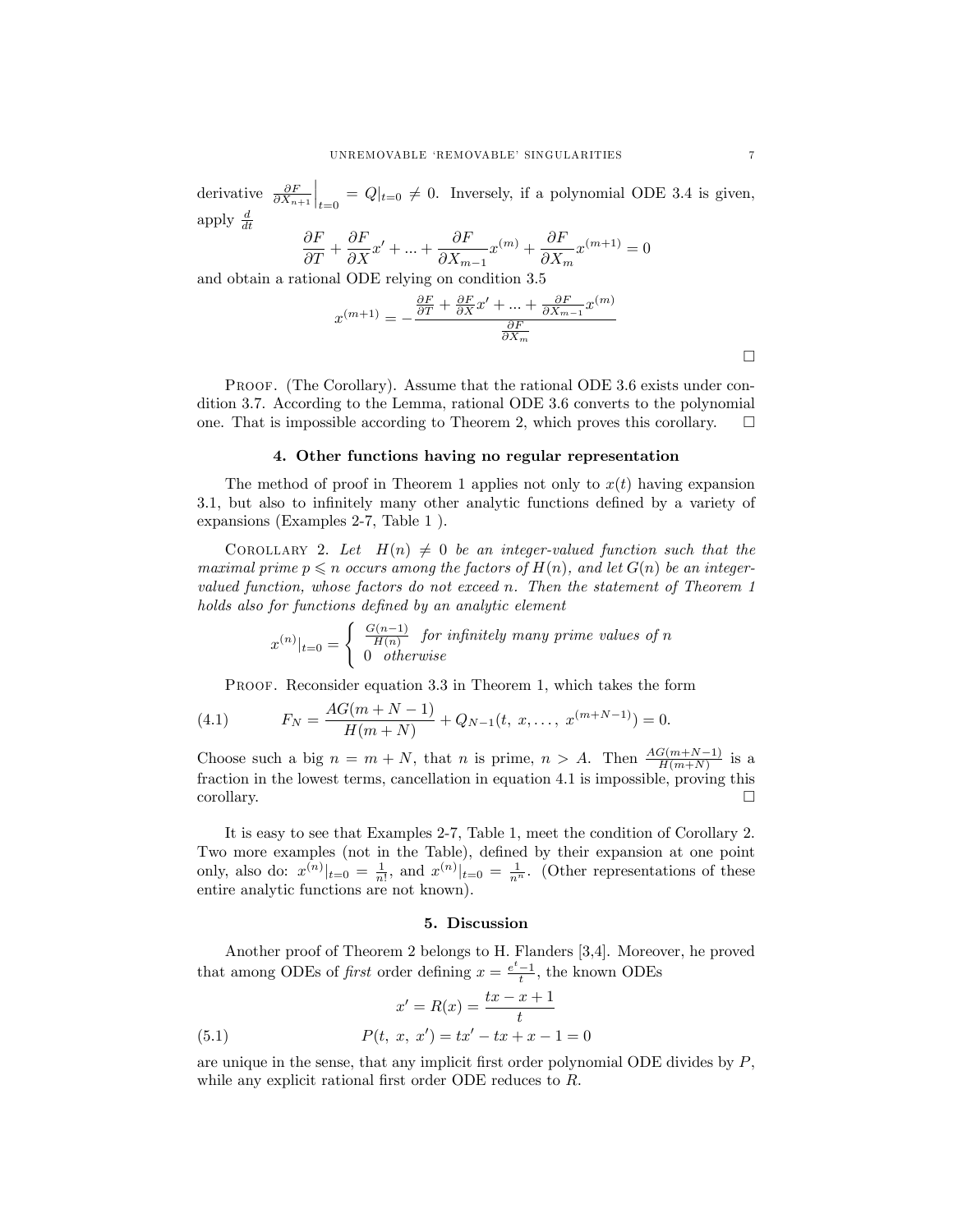derivative  $\frac{\partial F}{\partial X_{n+1}}$  $\Big|_{t=0} = Q|_{t=0} \neq 0$ . Inversely, if a polynomial ODE 3.4 is given, apply  $\frac{d}{dt}$ 

$$
\frac{\partial F}{\partial T} + \frac{\partial F}{\partial X}x' + \ldots + \frac{\partial F}{\partial X_{m-1}}x^{(m)} + \frac{\partial F}{\partial X_m}x^{(m+1)} = 0
$$

and obtain a rational ODE relying on condition 3.5

$$
x^{(m+1)} = -\frac{\frac{\partial F}{\partial T} + \frac{\partial F}{\partial X}x' + \dots + \frac{\partial F}{\partial X_{m-1}}x^{(m)}}{\frac{\partial F}{\partial X_m}}
$$

PROOF. (The Corollary). Assume that the rational ODE 3.6 exists under condition 3.7. According to the Lemma, rational ODE 3.6 converts to the polynomial one. That is impossible according to Theorem 2, which proves this corollary.  $\square$ 

### 4. Other functions having no regular representation

The method of proof in Theorem 1 applies not only to  $x(t)$  having expansion 3.1, but also to infinitely many other analytic functions defined by a variety of expansions (Examples 2-7, Table 1 ).

COROLLARY 2. Let  $H(n) \neq 0$  be an integer-valued function such that the maximal prime  $p \leq n$  occurs among the factors of  $H(n)$ , and let  $G(n)$  be an integervalued function, whose factors do not exceed n. Then the statement of Theorem 1 holds also for functions defined by an analytic element

$$
x^{(n)}|_{t=0} = \begin{cases} \frac{G(n-1)}{H(n)} & \text{for infinitely many prime values of } n \\ 0 & \text{otherwise} \end{cases}
$$

PROOF. Reconsider equation 3.3 in Theorem 1, which takes the form

(4.1) 
$$
F_N = \frac{AG(m+N-1)}{H(m+N)} + Q_{N-1}(t, x, \dots, x^{(m+N-1)}) = 0.
$$

Choose such a big  $n = m + N$ , that n is prime,  $n > A$ . Then  $\frac{AG(m+N-1)}{H(m+N)}$  is a fraction in the lowest terms, cancellation in equation 4.1 is impossible, proving this corollary.  $\Box$ 

It is easy to see that Examples 2-7, Table 1, meet the condition of Corollary 2. Two more examples (not in the Table), defined by their expansion at one point only, also do:  $x^{(n)}|_{t=0} = \frac{1}{n!}$ , and  $x^{(n)}|_{t=0} = \frac{1}{n^n}$ . (Other representations of these entire analytic functions are not known).

### 5. Discussion

Another proof of Theorem 2 belongs to H. Flanders [3,4]. Moreover, he proved that among ODEs of *first* order defining  $x = \frac{e^t - 1}{t}$ , the known ODEs

$$
x' = R(x) = \frac{tx - x + 1}{t}
$$

(5.1) 
$$
P(t, x, x') = tx' - tx + x - 1 = 0
$$

are unique in the sense, that any implicit first order polynomial ODE divides by  $P$ , while any explicit rational first order ODE reduces to  $R$ .

 $\Box$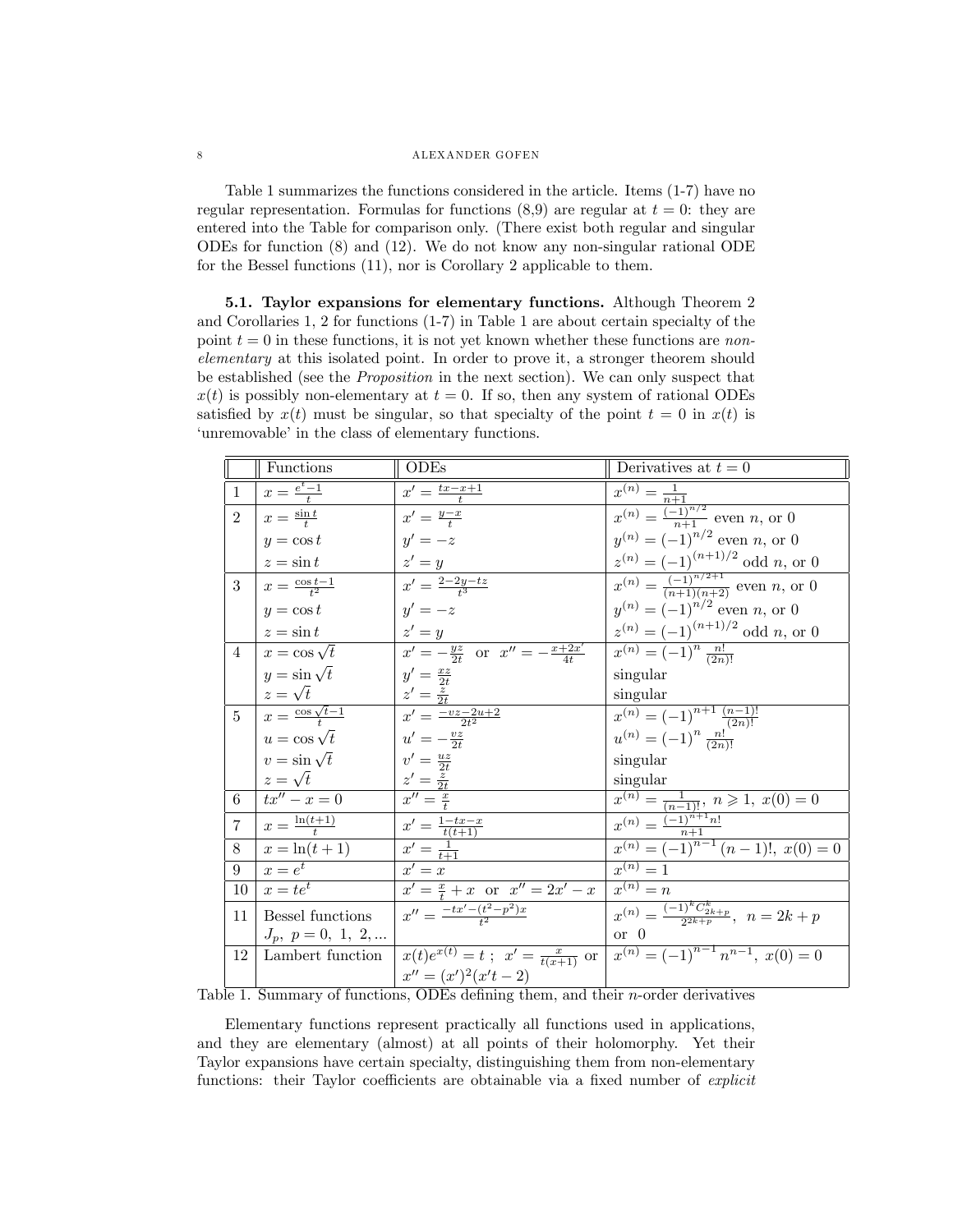### 8 ALEXANDER GOFEN

Table 1 summarizes the functions considered in the article. Items (1-7) have no regular representation. Formulas for functions  $(8,9)$  are regular at  $t = 0$ : they are entered into the Table for comparison only. (There exist both regular and singular ODEs for function (8) and (12). We do not know any non-singular rational ODE for the Bessel functions (11), nor is Corollary 2 applicable to them.

5.1. Taylor expansions for elementary functions. Although Theorem 2 and Corollaries 1, 2 for functions (1-7) in Table 1 are about certain specialty of the point  $t = 0$  in these functions, it is not yet known whether these functions are nonelementary at this isolated point. In order to prove it, a stronger theorem should be established (see the Proposition in the next section). We can only suspect that  $x(t)$  is possibly non-elementary at  $t = 0$ . If so, then any system of rational ODEs satisfied by  $x(t)$  must be singular, so that specialty of the point  $t = 0$  in  $x(t)$  is 'unremovable' in the class of elementary functions.

|                | <b>Functions</b>                       | <b>ODEs</b>                                        | Derivatives at $t=0$                                                                                                |
|----------------|----------------------------------------|----------------------------------------------------|---------------------------------------------------------------------------------------------------------------------|
| $\mathbf{1}$   | $x=\frac{e^t-1}{t}$                    | $x' = \frac{tx - x + 1}{t}$                        | $x^{(n)} = \frac{1}{n+1}$                                                                                           |
| $\overline{2}$ | $x=\frac{\sin t}{t}$                   | $x'=\frac{y-x}{t}$                                 | $x^{(n)} = \frac{\binom{n+1}{n}}{n+1}$ even <i>n</i> , or 0                                                         |
|                | $y = \cos t$                           | $y'=-z$                                            | $y^{(n)} = (-1)^{n/2}$ even n, or 0                                                                                 |
|                | $z = \sin t$                           | $z'=y$                                             | $z^{(n)} = (-1)^{(n+1)/2}$ odd n, or 0                                                                              |
| $\overline{3}$ | $x = \frac{\cos t - 1}{t^2}$           | $x' = \frac{2-2y-tz}{4}$                           | $x^{(n)} = \frac{(-1)^{n/2+1}}{(n+1)(n+2)}$ even n, or 0                                                            |
|                | $y = \cos t$                           | $y'=-z$                                            | $y^{(n)} = (-1)^{n/2}$ even n, or 0                                                                                 |
|                | $z = \sin t$                           | $z'=y$                                             | $z^{(n)} = (-1)^{(n+1)/2}$ odd n, or 0                                                                              |
| $\overline{4}$ | $x = \cos \sqrt{t}$                    | $x' = -\frac{yz}{2t}$ or $x'' = -\frac{x+2x'}{4t}$ | $x^{(n)} = (-1)^n \frac{n!}{(2n)!}$                                                                                 |
|                | $y = \sin \sqrt{t}$                    | $y'=\frac{xz}{2t}$                                 | singular                                                                                                            |
|                | $z=\sqrt{t}$                           | $z'=\frac{z}{2t}$                                  | singular                                                                                                            |
|                | $5 \mid x = \frac{\cos \sqrt{t-1}}{t}$ | $x' = \frac{-vz - 2u + 2}{2t^2}$                   | $x^{(n)} = (-1)^{n+1} \frac{(n-1)!}{(2n)!}$                                                                         |
|                | $u = \cos \sqrt{t}$                    | $u'=-\frac{vz}{2t}$                                | $u^{(n)} = (-1)^n \frac{n!}{(2n)!}$                                                                                 |
|                | $v = \sin \sqrt{t}$                    | $v' = \frac{uz}{2t}$                               | singular                                                                                                            |
|                | $z=\sqrt{t}$                           | $\frac{z'=\frac{z}{2t}}{x''=\frac{x}{t}}$          | singular                                                                                                            |
| 6              | $tx'' - x = 0$                         |                                                    | $x^{(n)} = \frac{1}{(n-1)!}, n \geq 1, x(0) = 0$                                                                    |
| $\overline{7}$ | $x=\frac{\ln(t+1)}{t}$                 | $x' = \frac{1-tx-x}{t(t+1)}$                       | $\overline{x^{(n)} = \frac{(-1)^{n+1} n!}{n+1}}$<br>$\overline{x^{(n)} = (-1)^{n-1} (n-1)!}, \ \overline{x(0)} = 0$ |
| 8              | $x = \ln(t + 1)$                       | $x'=\frac{1}{t+1}$                                 |                                                                                                                     |
| 9              | $x=e^t$                                | $\overline{x'} = x$                                | $r^{(n)}=1$                                                                                                         |
| 10             | $x = te^t$                             | $x' = \frac{x}{t} + x$ or $x'' = 2x' - x$          | $x^{(n)}=n$                                                                                                         |
| 11             | Bessel functions                       | $x'' = \frac{-tx' - (t^2 - p^2)x}{r^2}$            | $\overline{x^{(n)} = \frac{(-1)^k C_{2k+p}^k}{2k+p}}, \ \ n = 2k+p$                                                 |
|                | $J_p, p = 0, 1, 2, $                   |                                                    | or $\theta$                                                                                                         |
| 12             | Lambert function                       |                                                    | $x(t)e^{x(t)} = t$ , $x' = \frac{x}{t(x+1)}$ or $x^{(n)} = (-1)^{n-1} n^{n-1}$ , $x(0) = 0$                         |
|                |                                        | $x'' = (x')^2(x't - 2)$                            |                                                                                                                     |

Table 1. Summary of functions, ODEs defining them, and their  $n$ -order derivatives

Elementary functions represent practically all functions used in applications, and they are elementary (almost) at all points of their holomorphy. Yet their Taylor expansions have certain specialty, distinguishing them from non-elementary functions: their Taylor coefficients are obtainable via a fixed number of *explicit*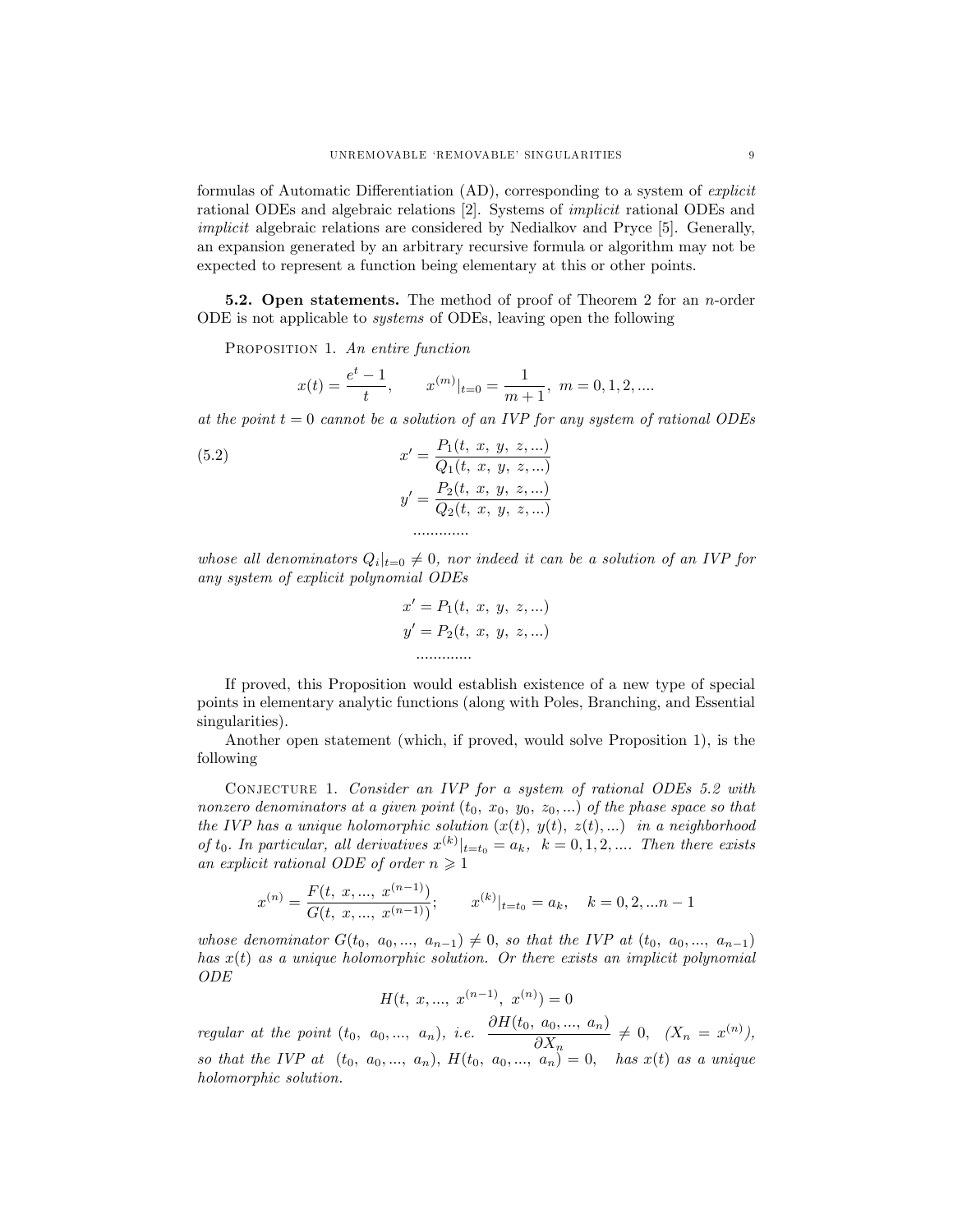formulas of Automatic Differentiation (AD), corresponding to a system of *explicit* rational ODEs and algebraic relations [2]. Systems of *implicit* rational ODEs and *implicit* algebraic relations are considered by Nedialkov and Pryce [5]. Generally, an expansion generated by an arbitrary recursive formula or algorithm may not be expected to represent a function being elementary at this or other points.

**5.2. Open statements.** The method of proof of Theorem 2 for an *n*-order ODE is not applicable to *systems* of ODEs, leaving open the following

PROPOSITION 1. An entire function

$$
x(t) = \frac{e^t - 1}{t}, \qquad x^{(m)}|_{t=0} = \frac{1}{m+1}, \ m = 0, 1, 2, \dots
$$

at the point  $t = 0$  cannot be a solution of an IVP for any system of rational ODEs

(5.2) 
$$
x' = \frac{P_1(t, x, y, z, ...)}{Q_1(t, x, y, z, ...)}
$$

$$
y' = \frac{P_2(t, x, y, z, ...)}{Q_2(t, x, y, z, ...)}
$$

whose all denominators  $Q_i|_{t=0} \neq 0$ , nor indeed it can be a solution of an IVP for any system of explicit polynomial ODEs

$$
x' = P_1(t, x, y, z, ...)
$$
  

$$
y' = P_2(t, x, y, z, ...)
$$

If proved, this Proposition would establish existence of a new type of special points in elementary analytic functions (along with Poles, Branching, and Essential singularities).

Another open statement (which, if proved, would solve Proposition 1), is the following

CONJECTURE 1. Consider an IVP for a system of rational ODEs 5.2 with nonzero denominators at a given point  $(t_0, x_0, y_0, z_0, ...)$  of the phase space so that the IVP has a unique holomorphic solution  $(x(t), y(t), z(t), ...)$  in a neighborhood of  $t_0$ . In particular, all derivatives  $x^{(k)}|_{t=t_0} = a_k$ ,  $k = 0, 1, 2, ...$  Then there exists an explicit rational ODE of order  $n \geqslant 1$ 

$$
x^{(n)} = \frac{F(t, x, ..., x^{(n-1)})}{G(t, x, ..., x^{(n-1)})}; \qquad x^{(k)}|_{t=t_0} = a_k, \quad k = 0, 2, ... n-1
$$

whose denominator  $G(t_0, a_0, ..., a_{n-1}) \neq 0$ , so that the IVP at  $(t_0, a_0, ..., a_{n-1})$ has  $x(t)$  as a unique holomorphic solution. Or there exists an implicit polynomial *ODE* 

$$
H(t, x, \ldots, x^{(n-1)}, x^{(n)}) = 0
$$

regular at the point  $(t_0, a_0, ..., a_n)$ , i.e.  $\frac{\partial H(t_0, a_0, ..., a_n)}{\partial X_n} \neq 0$ ,  $(X_n = x^{(n)})$ ,<br>so that the IVP at  $(t_0, a_0, ..., a_n)$ ,  $H(t_0, a_0, ..., a_n) = 0$ , has  $x(t)$  as a unique holomorphic solution.